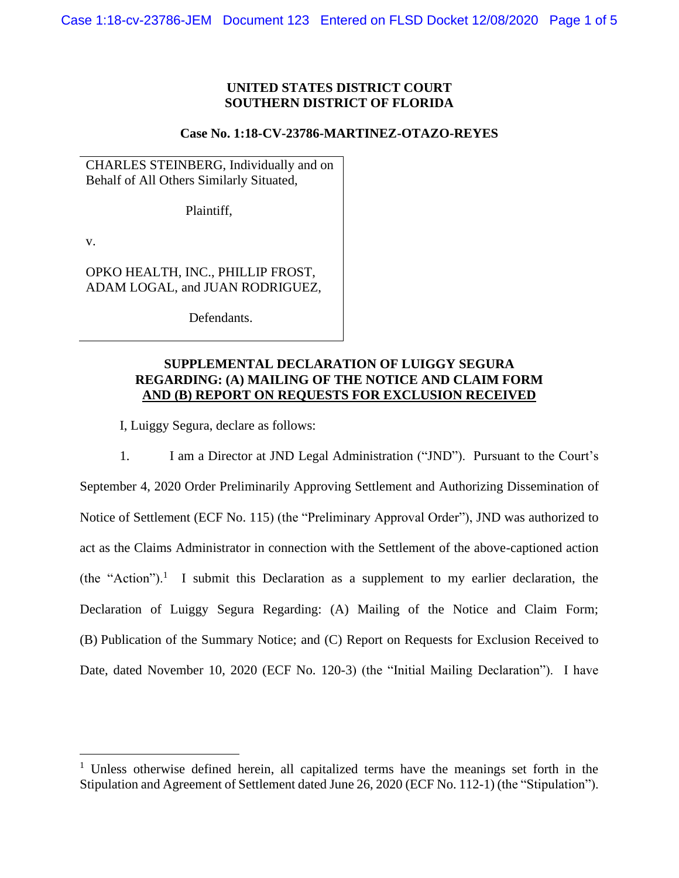## **UNITED STATES DISTRICT COURT SOUTHERN DISTRICT OF FLORIDA**

### **Case No. 1:18-CV-23786-MARTINEZ-OTAZO-REYES**

CHARLES STEINBERG, Individually and on Behalf of All Others Similarly Situated,

Plaintiff,

v.

OPKO HEALTH, INC., PHILLIP FROST, ADAM LOGAL, and JUAN RODRIGUEZ,

Defendants.

# **SUPPLEMENTAL DECLARATION OF LUIGGY SEGURA REGARDING: (A) MAILING OF THE NOTICE AND CLAIM FORM AND (B) REPORT ON REQUESTS FOR EXCLUSION RECEIVED**

I, Luiggy Segura, declare as follows:

1. I am a Director at JND Legal Administration ("JND"). Pursuant to the Court's September 4, 2020 Order Preliminarily Approving Settlement and Authorizing Dissemination of Notice of Settlement (ECF No. 115) (the "Preliminary Approval Order"), JND was authorized to act as the Claims Administrator in connection with the Settlement of the above-captioned action (the "Action").<sup>1</sup> I submit this Declaration as a supplement to my earlier declaration, the Declaration of Luiggy Segura Regarding: (A) Mailing of the Notice and Claim Form; (B) Publication of the Summary Notice; and (C) Report on Requests for Exclusion Received to Date, dated November 10, 2020 (ECF No. 120-3) (the "Initial Mailing Declaration"). I have

<sup>&</sup>lt;sup>1</sup> Unless otherwise defined herein, all capitalized terms have the meanings set forth in the Stipulation and Agreement of Settlement dated June 26, 2020 (ECF No. 112-1) (the "Stipulation").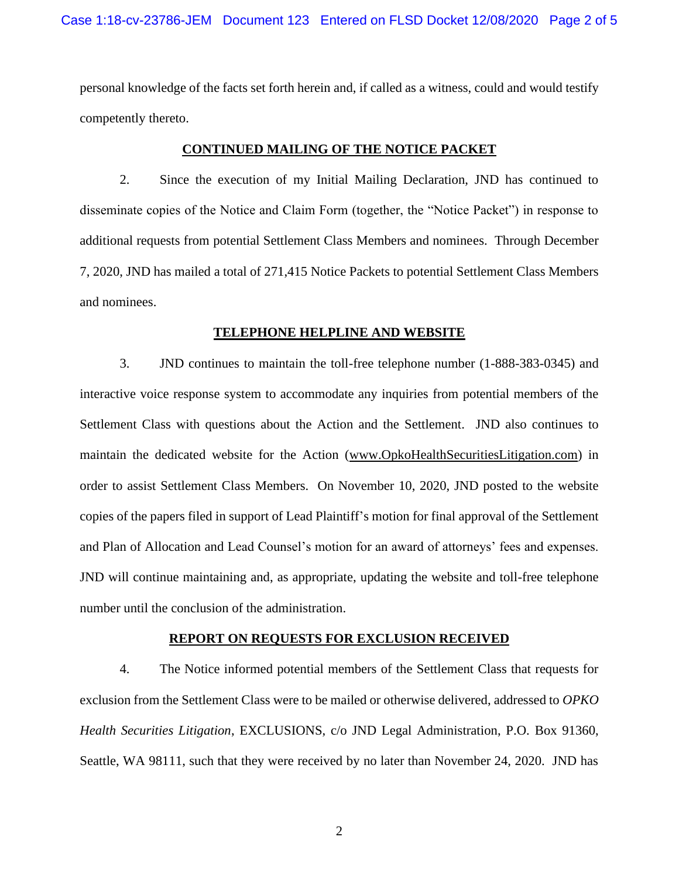personal knowledge of the facts set forth herein and, if called as a witness, could and would testify competently thereto.

## **CONTINUED MAILING OF THE NOTICE PACKET**

2. Since the execution of my Initial Mailing Declaration, JND has continued to disseminate copies of the Notice and Claim Form (together, the "Notice Packet") in response to additional requests from potential Settlement Class Members and nominees. Through December 7, 2020, JND has mailed a total of 271,415 Notice Packets to potential Settlement Class Members and nominees.

#### **TELEPHONE HELPLINE AND WEBSITE**

3. JND continues to maintain the toll-free telephone number (1-888-383-0345) and interactive voice response system to accommodate any inquiries from potential members of the Settlement Class with questions about the Action and the Settlement. JND also continues to maintain the dedicated website for the Action (www.OpkoHealthSecuritiesLitigation.com) in order to assist Settlement Class Members. On November 10, 2020, JND posted to the website copies of the papers filed in support of Lead Plaintiff's motion for final approval of the Settlement and Plan of Allocation and Lead Counsel's motion for an award of attorneys' fees and expenses. JND will continue maintaining and, as appropriate, updating the website and toll-free telephone number until the conclusion of the administration.

#### **REPORT ON REQUESTS FOR EXCLUSION RECEIVED**

4. The Notice informed potential members of the Settlement Class that requests for exclusion from the Settlement Class were to be mailed or otherwise delivered, addressed to *OPKO Health Securities Litigation*, EXCLUSIONS, c/o JND Legal Administration, P.O. Box 91360, Seattle, WA 98111, such that they were received by no later than November 24, 2020. JND has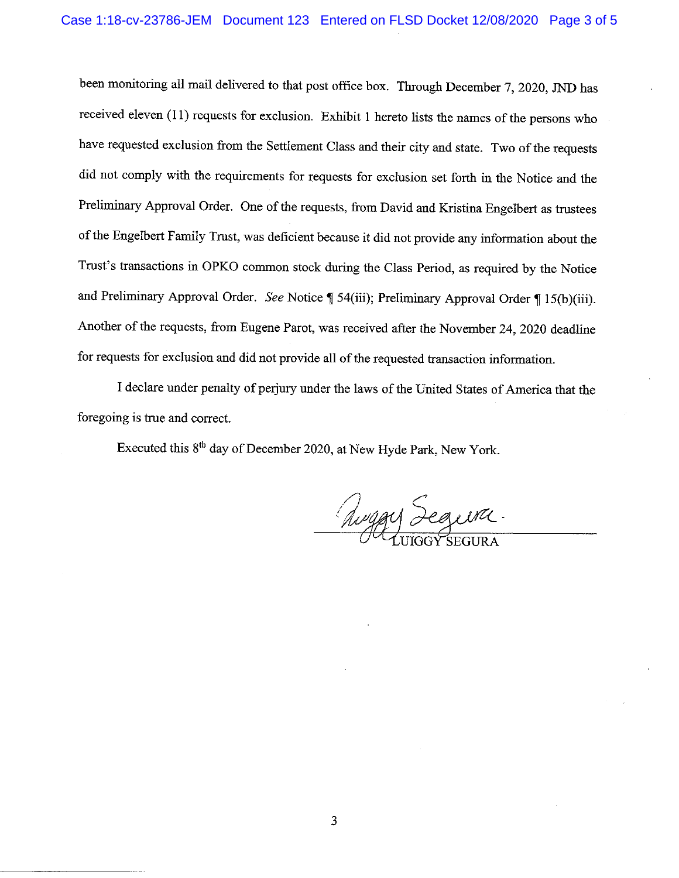been monitoring all mail delivered to that post office box. Through December 7, 2020, JND has received eleven (11) requests for exclusion. Exhibit 1 hereto lists the names of the persons who have requested exclusion from the Settlement Class and their city and state. Two of the requests did not comply with the requirements for requests for exclusion set forth in the Notice and the Preliminary Approval Order. One of the requests, from David and Kristina Engelbert as trustees of the Engelbert Family Trust, was deficient because it did not provide any information about the Trust's transactions in OPKO common stock during the Class Period, as required by the Notice and Preliminary Approval Order. See Notice | 54(iii); Preliminary Approval Order | 15(b)(iii). Another of the requests, from Eugene Parot, was received after the November 24, 2020 deadline for requests for exclusion and did not provide all of the requested transaction information.

I declare under penalty of perjury under the laws of the United States of America that the foregoing is true and correct.

Executed this 8<sup>th</sup> day of December 2020, at New Hyde Park, New York.

Auggy Segura.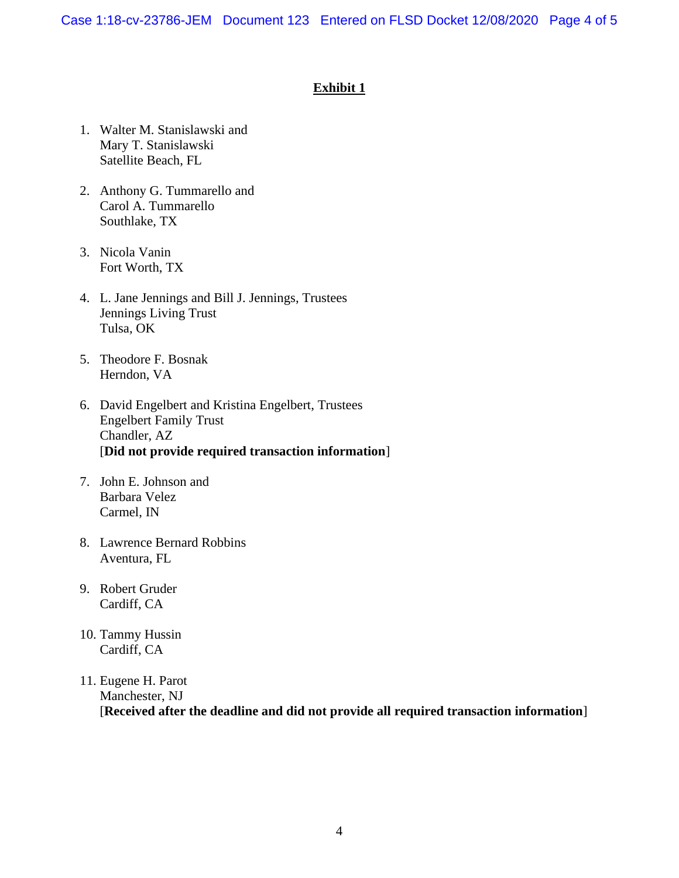Case 1:18-cv-23786-JEM Document 123 Entered on FLSD Docket 12/08/2020 Page 4 of 5

# **Exhibit 1**

- 1. Walter M. Stanislawski and Mary T. Stanislawski Satellite Beach, FL
- 2. Anthony G. Tummarello and Carol A. Tummarello Southlake, TX
- 3. Nicola Vanin Fort Worth, TX
- 4. L. Jane Jennings and Bill J. Jennings, Trustees Jennings Living Trust Tulsa, OK
- 5. Theodore F. Bosnak Herndon, VA
- 6. David Engelbert and Kristina Engelbert, Trustees Engelbert Family Trust Chandler, AZ [**Did not provide required transaction information**]
- 7. John E. Johnson and Barbara Velez Carmel, IN
- 8. Lawrence Bernard Robbins Aventura, FL
- 9. Robert Gruder Cardiff, CA
- 10. Tammy Hussin Cardiff, CA
- 11. Eugene H. Parot Manchester, NJ [**Received after the deadline and did not provide all required transaction information**]